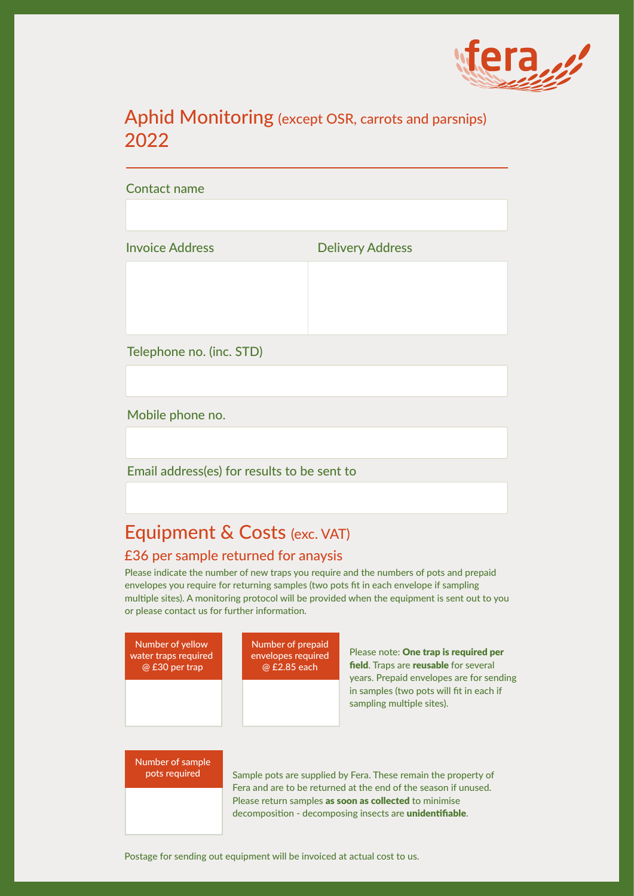

# Aphid Monitoring (except OSR, carrots and parsnips) 2022

Contact name

Invoice Address **Delivery Address** 

Telephone no. (inc. STD)

Mobile phone no.

Email address(es) for results to be sent to

# Equipment & Costs (exc. VAT)

# £36 per sample returned for anaysis

Please indicate the number of new traps you require and the numbers of pots and prepaid envelopes you require for returning samples (two pots fit in each envelope if sampling multiple sites). A monitoring protocol will be provided when the equipment is sent out to you or please contact us for further information.



Fera and are to be returned at the end of the season if unused. Please return samples as soon as collected to minimise decomposition - decomposing insects are unidentifiable.